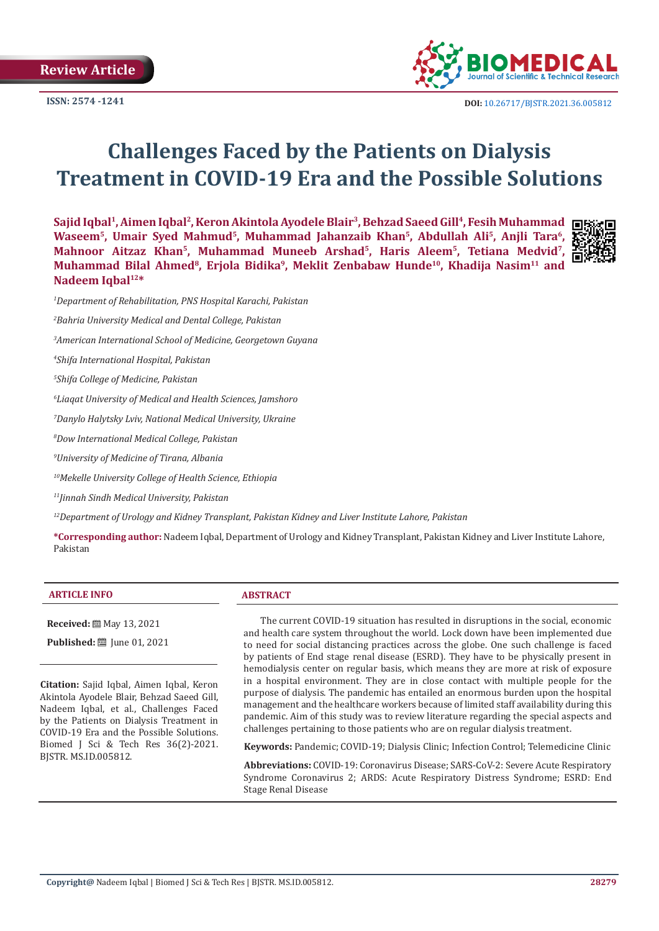**Review Article**

**ISSN: 2574 -1241**



# **Challenges Faced by the Patients on Dialysis Treatment in COVID-19 Era and the Possible Solutions**

**Sajid Iqbal1, Aimen Iqbal2, Keron Akintola Ayodele Blair3, Behzad Saeed Gill4, Fesih Muhammad**  Waseem<sup>5</sup>, Umair Syed Mahmud<sup>5</sup>, Muhammad Jahanzaib Khan<sup>5</sup>, Abdullah Ali<sup>5</sup>, Anjli Tara<sup>6</sup>, **Mahnoor Aitzaz Khan5, Muhammad Muneeb Arshad5, Haris Aleem5, Tetiana Medvid7,**  Muhammad Bilal Ahmed<sup>8</sup>, Erjola Bidika<sup>9</sup>, Meklit Zenbabaw Hunde<sup>10</sup>, Khadija Nasim<sup>11</sup> and **Nadeem Iqbal12\***



*1 Department of Rehabilitation, PNS Hospital Karachi, Pakistan*

*2 Bahria University Medical and Dental College, Pakistan*

*3 American International School of Medicine, Georgetown Guyana*

*4 Shifa International Hospital, Pakistan*

*5 Shifa College of Medicine, Pakistan*

*6 Liaqat University of Medical and Health Sciences, Jamshoro*

*7 Danylo Halytsky Lviv, National Medical University, Ukraine*

*8 Dow International Medical College, Pakistan*

*9 University of Medicine of Tirana, Albania*

*10Mekelle University College of Health Science, Ethiopia*

*11Jinnah Sindh Medical University, Pakistan*

*12Department of Urology and Kidney Transplant, Pakistan Kidney and Liver Institute Lahore, Pakistan*

**\*Corresponding author:** Nadeem Iqbal, Department of Urology and Kidney Transplant, Pakistan Kidney and Liver Institute Lahore, Pakistan

#### **ARTICLE INFO ABSTRACT**

**Received:** ■ May 13, 2021

**Published:** ■ June 01, 2021

**Citation:** Sajid Iqbal, Aimen Iqbal, Keron Akintola Ayodele Blair, Behzad Saeed Gill, Nadeem Iqbal, et al., Challenges Faced by the Patients on Dialysis Treatment in COVID-19 Era and the Possible Solutions. Biomed J Sci & Tech Res 36(2)-2021. BJSTR. MS.ID.005812.

The current COVID-19 situation has resulted in disruptions in the social, economic and health care system throughout the world. Lock down have been implemented due to need for social distancing practices across the globe. One such challenge is faced by patients of End stage renal disease (ESRD). They have to be physically present in hemodialysis center on regular basis, which means they are more at risk of exposure in a hospital environment. They are in close contact with multiple people for the purpose of dialysis. The pandemic has entailed an enormous burden upon the hospital management and the healthcare workers because of limited staff availability during this pandemic. Aim of this study was to review literature regarding the special aspects and challenges pertaining to those patients who are on regular dialysis treatment.

**Keywords:** Pandemic; COVID-19; Dialysis Clinic; Infection Control; Telemedicine Clinic

**Abbreviations:** COVID-19: Coronavirus Disease; SARS-CoV-2: Severe Acute Respiratory Syndrome Coronavirus 2; ARDS: Acute Respiratory Distress Syndrome; ESRD: End Stage Renal Disease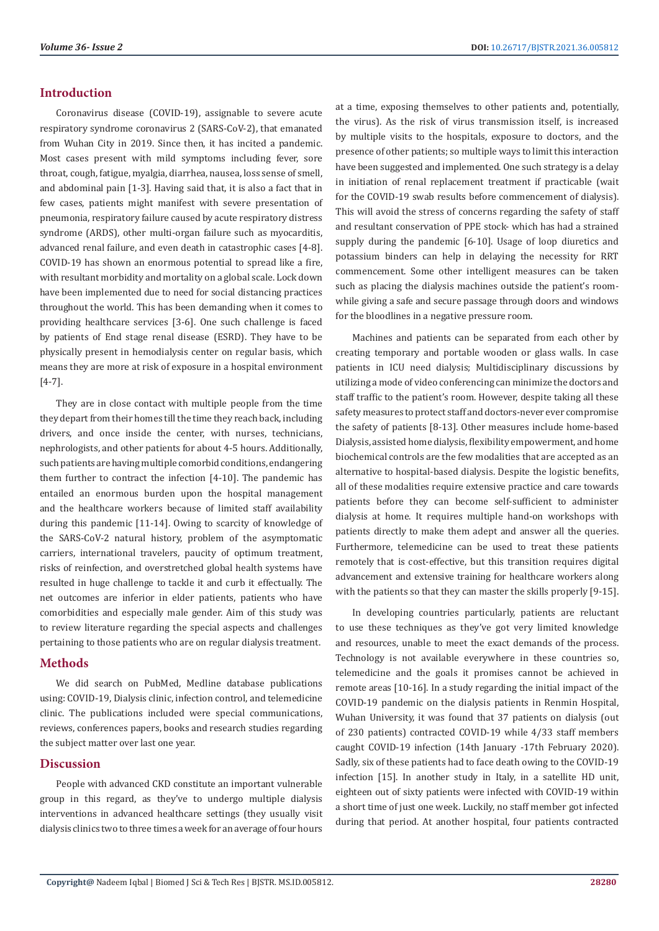# **Introduction**

Coronavirus disease (COVID-19), assignable to severe acute respiratory syndrome coronavirus 2 (SARS-CoV-2), that emanated from Wuhan City in 2019. Since then, it has incited a pandemic. Most cases present with mild symptoms including fever, sore throat, cough, fatigue, myalgia, diarrhea, nausea, loss sense of smell, and abdominal pain [1-3]. Having said that, it is also a fact that in few cases, patients might manifest with severe presentation of pneumonia, respiratory failure caused by acute respiratory distress syndrome (ARDS), other multi-organ failure such as myocarditis, advanced renal failure, and even death in catastrophic cases [4-8]. COVID-19 has shown an enormous potential to spread like a fire, with resultant morbidity and mortality on a global scale. Lock down have been implemented due to need for social distancing practices throughout the world. This has been demanding when it comes to providing healthcare services [3-6]. One such challenge is faced by patients of End stage renal disease (ESRD). They have to be physically present in hemodialysis center on regular basis, which means they are more at risk of exposure in a hospital environment [4-7].

They are in close contact with multiple people from the time they depart from their homes till the time they reach back, including drivers, and once inside the center, with nurses, technicians, nephrologists, and other patients for about 4-5 hours. Additionally, such patients are having multiple comorbid conditions, endangering them further to contract the infection [4-10]. The pandemic has entailed an enormous burden upon the hospital management and the healthcare workers because of limited staff availability during this pandemic [11-14]. Owing to scarcity of knowledge of the SARS-CoV-2 natural history, problem of the asymptomatic carriers, international travelers, paucity of optimum treatment, risks of reinfection, and overstretched global health systems have resulted in huge challenge to tackle it and curb it effectually. The net outcomes are inferior in elder patients, patients who have comorbidities and especially male gender. Aim of this study was to review literature regarding the special aspects and challenges pertaining to those patients who are on regular dialysis treatment.

## **Methods**

We did search on PubMed, Medline database publications using: COVID-19, Dialysis clinic, infection control, and telemedicine clinic. The publications included were special communications, reviews, conferences papers, books and research studies regarding the subject matter over last one year.

## **Discussion**

People with advanced CKD constitute an important vulnerable group in this regard, as they've to undergo multiple dialysis interventions in advanced healthcare settings (they usually visit dialysis clinics two to three times a week for an average of four hours

at a time, exposing themselves to other patients and, potentially, the virus). As the risk of virus transmission itself, is increased by multiple visits to the hospitals, exposure to doctors, and the presence of other patients; so multiple ways to limit this interaction have been suggested and implemented. One such strategy is a delay in initiation of renal replacement treatment if practicable (wait for the COVID-19 swab results before commencement of dialysis). This will avoid the stress of concerns regarding the safety of staff and resultant conservation of PPE stock- which has had a strained supply during the pandemic [6-10]. Usage of loop diuretics and potassium binders can help in delaying the necessity for RRT commencement. Some other intelligent measures can be taken such as placing the dialysis machines outside the patient's roomwhile giving a safe and secure passage through doors and windows for the bloodlines in a negative pressure room.

Machines and patients can be separated from each other by creating temporary and portable wooden or glass walls. In case patients in ICU need dialysis; Multidisciplinary discussions by utilizing a mode of video conferencing can minimize the doctors and staff traffic to the patient's room. However, despite taking all these safety measures to protect staff and doctors-never ever compromise the safety of patients [8-13]. Other measures include home-based Dialysis, assisted home dialysis, flexibility empowerment, and home biochemical controls are the few modalities that are accepted as an alternative to hospital-based dialysis. Despite the logistic benefits, all of these modalities require extensive practice and care towards patients before they can become self-sufficient to administer dialysis at home. It requires multiple hand-on workshops with patients directly to make them adept and answer all the queries. Furthermore, telemedicine can be used to treat these patients remotely that is cost-effective, but this transition requires digital advancement and extensive training for healthcare workers along with the patients so that they can master the skills properly [9-15].

In developing countries particularly, patients are reluctant to use these techniques as they've got very limited knowledge and resources, unable to meet the exact demands of the process. Technology is not available everywhere in these countries so, telemedicine and the goals it promises cannot be achieved in remote areas [10-16]. In a study regarding the initial impact of the COVID-19 pandemic on the dialysis patients in Renmin Hospital, Wuhan University, it was found that 37 patients on dialysis (out of 230 patients) contracted COVID-19 while 4/33 staff members caught COVID-19 infection (14th January -17th February 2020). Sadly, six of these patients had to face death owing to the COVID-19 infection [15]. In another study in Italy, in a satellite HD unit, eighteen out of sixty patients were infected with COVID-19 within a short time of just one week. Luckily, no staff member got infected during that period. At another hospital, four patients contracted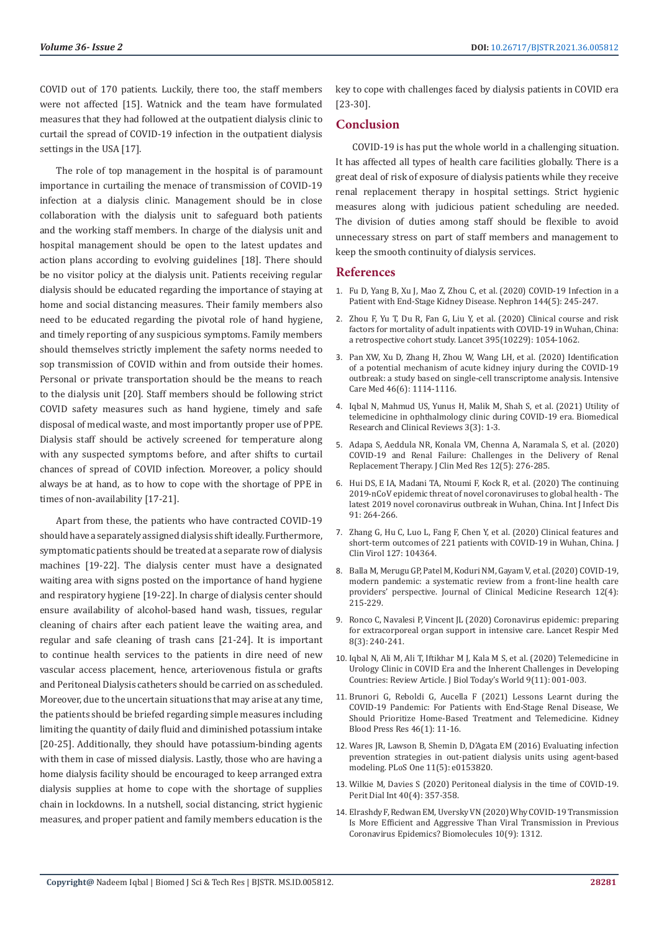COVID out of 170 patients. Luckily, there too, the staff members were not affected [15]. Watnick and the team have formulated measures that they had followed at the outpatient dialysis clinic to curtail the spread of COVID-19 infection in the outpatient dialysis settings in the USA [17].

The role of top management in the hospital is of paramount importance in curtailing the menace of transmission of COVID-19 infection at a dialysis clinic. Management should be in close collaboration with the dialysis unit to safeguard both patients and the working staff members. In charge of the dialysis unit and hospital management should be open to the latest updates and action plans according to evolving guidelines [18]. There should be no visitor policy at the dialysis unit. Patients receiving regular dialysis should be educated regarding the importance of staying at home and social distancing measures. Their family members also need to be educated regarding the pivotal role of hand hygiene, and timely reporting of any suspicious symptoms. Family members should themselves strictly implement the safety norms needed to sop transmission of COVID within and from outside their homes. Personal or private transportation should be the means to reach to the dialysis unit [20]. Staff members should be following strict COVID safety measures such as hand hygiene, timely and safe disposal of medical waste, and most importantly proper use of PPE. Dialysis staff should be actively screened for temperature along with any suspected symptoms before, and after shifts to curtail chances of spread of COVID infection. Moreover, a policy should always be at hand, as to how to cope with the shortage of PPE in times of non-availability [17-21].

Apart from these, the patients who have contracted COVID-19 should have a separately assigned dialysis shift ideally. Furthermore, symptomatic patients should be treated at a separate row of dialysis machines [19-22]. The dialysis center must have a designated waiting area with signs posted on the importance of hand hygiene and respiratory hygiene [19-22]. In charge of dialysis center should ensure availability of alcohol-based hand wash, tissues, regular cleaning of chairs after each patient leave the waiting area, and regular and safe cleaning of trash cans [21-24]. It is important to continue health services to the patients in dire need of new vascular access placement, hence, arteriovenous fistula or grafts and Peritoneal Dialysis catheters should be carried on as scheduled. Moreover, due to the uncertain situations that may arise at any time, the patients should be briefed regarding simple measures including limiting the quantity of daily fluid and diminished potassium intake [20-25]. Additionally, they should have potassium-binding agents with them in case of missed dialysis. Lastly, those who are having a home dialysis facility should be encouraged to keep arranged extra dialysis supplies at home to cope with the shortage of supplies chain in lockdowns. In a nutshell, social distancing, strict hygienic measures, and proper patient and family members education is the

key to cope with challenges faced by dialysis patients in COVID era [23-30].

# **Conclusion**

COVID-19 is has put the whole world in a challenging situation. It has affected all types of health care facilities globally. There is a great deal of risk of exposure of dialysis patients while they receive renal replacement therapy in hospital settings. Strict hygienic measures along with judicious patient scheduling are needed. The division of duties among staff should be flexible to avoid unnecessary stress on part of staff members and management to keep the smooth continuity of dialysis services.

#### **References**

- 1. [Fu D, Yang B, Xu J, Mao Z, Zhou C, et al. \(2020\) COVID-19 Infection in a](https://pubmed.ncbi.nlm.nih.gov/32222703/) [Patient with End-Stage Kidney Disease. Nephron 144\(5\): 245-247.](https://pubmed.ncbi.nlm.nih.gov/32222703/)
- 2. [Zhou F, Yu T, Du R, Fan G, Liu Y, et al. \(2020\) Clinical course and risk](https://pubmed.ncbi.nlm.nih.gov/32171076/) [factors for mortality of adult inpatients with COVID-19 in Wuhan, China:](https://pubmed.ncbi.nlm.nih.gov/32171076/) [a retrospective cohort study. Lancet 395\(10229\): 1054-1062.](https://pubmed.ncbi.nlm.nih.gov/32171076/)
- 3. [Pan XW, Xu D, Zhang H, Zhou W, Wang LH, et al. \(2020\) Identification](https://pubmed.ncbi.nlm.nih.gov/32236644/) [of a potential mechanism of acute kidney injury during the COVID-19](https://pubmed.ncbi.nlm.nih.gov/32236644/) [outbreak: a study based on single-cell transcriptome analysis. Intensive](https://pubmed.ncbi.nlm.nih.gov/32236644/) [Care Med 46\(6\): 1114-1116.](https://pubmed.ncbi.nlm.nih.gov/32236644/)
- 4. [Iqbal N, Mahmud US, Yunus H, Malik M, Shah S, et al. \(2021\) Utility of](https://www.auctoresonline.org/images/currentissue/1615449537Galley_Proof-Utility_of_telemedicine_in_ophthalmology_clinic_during_COVID.pdf) [telemedicine in ophthalmology clinic during COVID-19 era. Biomedical](https://www.auctoresonline.org/images/currentissue/1615449537Galley_Proof-Utility_of_telemedicine_in_ophthalmology_clinic_during_COVID.pdf) [Research and Clinical Reviews 3\(3\): 1-3.](https://www.auctoresonline.org/images/currentissue/1615449537Galley_Proof-Utility_of_telemedicine_in_ophthalmology_clinic_during_COVID.pdf)
- 5. [Adapa S, Aeddula NR, Konala VM, Chenna A, Naramala S, et al. \(2020\)](https://www.ncbi.nlm.nih.gov/pmc/articles/PMC7239583/) [COVID-19 and Renal Failure: Challenges in the Delivery of Renal](https://www.ncbi.nlm.nih.gov/pmc/articles/PMC7239583/) [Replacement Therapy. J Clin Med Res 12\(5\): 276-285.](https://www.ncbi.nlm.nih.gov/pmc/articles/PMC7239583/)
- 6. [Hui DS, E IA, Madani TA, Ntoumi F, Kock R, et al. \(2020\) The continuing](https://pubmed.ncbi.nlm.nih.gov/31953166/) [2019-nCoV epidemic threat of novel coronaviruses to global health - The](https://pubmed.ncbi.nlm.nih.gov/31953166/) [latest 2019 novel coronavirus outbreak in Wuhan, China. Int J Infect Dis](https://pubmed.ncbi.nlm.nih.gov/31953166/) [91: 264-266.](https://pubmed.ncbi.nlm.nih.gov/31953166/)
- 7. [Zhang G, Hu C, Luo L, Fang F, Chen Y, et al. \(2020\) Clinical features and](https://pubmed.ncbi.nlm.nih.gov/32311650/) [short-term outcomes of 221 patients with COVID-19 in Wuhan, China. J](https://pubmed.ncbi.nlm.nih.gov/32311650/) [Clin Virol 127: 104364.](https://pubmed.ncbi.nlm.nih.gov/32311650/)
- 8. [Balla M, Merugu GP, Patel M, Koduri NM, Gayam V, et al. \(2020\) COVID-19,](https://www.ncbi.nlm.nih.gov/pmc/articles/PMC7188368/) [modern pandemic: a systematic review from a front-line health care](https://www.ncbi.nlm.nih.gov/pmc/articles/PMC7188368/) [providers' perspective. Journal of Clinical Medicine Research 12\(4\):](https://www.ncbi.nlm.nih.gov/pmc/articles/PMC7188368/) [215-229.](https://www.ncbi.nlm.nih.gov/pmc/articles/PMC7188368/)
- 9. [Ronco C, Navalesi P, Vincent JL \(2020\) Coronavirus epidemic: preparing](https://pubmed.ncbi.nlm.nih.gov/32035509/) [for extracorporeal organ support in intensive care. Lancet Respir Med](https://pubmed.ncbi.nlm.nih.gov/32035509/) [8\(3\): 240-241.](https://pubmed.ncbi.nlm.nih.gov/32035509/)
- 10. Iqbal N, Ali M, Ali T, Iftikhar M J, Kala M S, et al. (2020) Telemedicine in Urology Clinic in COVID Era and the Inherent Challenges in Developing Countries: Review Article. J Biol Today's World 9(11): 001-003.
- 11. [Brunori G, Reboldi G, Aucella F \(2021\) Lessons Learnt during the](https://pubmed.ncbi.nlm.nih.gov/33517338/) [COVID-19 Pandemic: For Patients with End-Stage Renal Disease, We](https://pubmed.ncbi.nlm.nih.gov/33517338/) [Should Prioritize Home-Based Treatment and Telemedicine. Kidney](https://pubmed.ncbi.nlm.nih.gov/33517338/) [Blood Press Res 46\(1\): 11-16.](https://pubmed.ncbi.nlm.nih.gov/33517338/)
- 12. [Wares JR, Lawson B, Shemin D, D'Agata EM \(2016\) Evaluating infection](https://pubmed.ncbi.nlm.nih.gov/27195984/) [prevention strategies in out-patient dialysis units using agent-based](https://pubmed.ncbi.nlm.nih.gov/27195984/) [modeling. PLoS One 11\(5\): e0153820.](https://pubmed.ncbi.nlm.nih.gov/27195984/)
- 13. [Wilkie M, Davies S \(2020\) Peritoneal dialysis in the time of COVID-19.](https://pubmed.ncbi.nlm.nih.gov/32312176/) [Perit Dial Int 40\(4\): 357-358.](https://pubmed.ncbi.nlm.nih.gov/32312176/)
- 14. [Elrashdy F, Redwan EM, Uversky VN \(2020\) Why COVID-19 Transmission](https://www.mdpi.com/2218-273X/10/9/1312) [Is More Efficient and Aggressive Than Viral Transmission in Previous](https://www.mdpi.com/2218-273X/10/9/1312) [Coronavirus Epidemics? Biomolecules 10\(9\): 1312.](https://www.mdpi.com/2218-273X/10/9/1312)